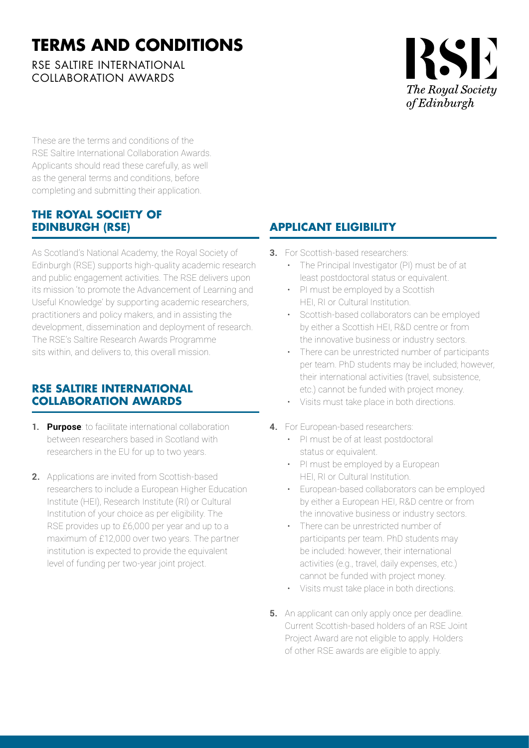## **TERMS AND CONDITIONS**

RSE SALTIRE INTERNATIONAL COLLABORATION AWARDS

# RSE The Royal Society *of Edinburgh*

These are the terms and conditions of the RSE Saltire International Collaboration Awards. Applicants should read these carefully, as well as the general terms and conditions, before completing and submitting their application.

#### **THE ROYAL SOCIETY OF EDINBURGH (RSE)**

As Scotland's National Academy, the Royal Society of Edinburgh (RSE) supports high-quality academic research and public engagement activities. The RSE delivers upon its mission 'to promote the Advancement of Learning and Useful Knowledge' by supporting academic researchers, practitioners and policy makers, and in assisting the development, dissemination and deployment of research. The RSE's Saltire Research Awards Programme sits within, and delivers to, this overall mission.

#### **RSE SALTIRE INTERNATIONAL COLLABORATION AWARDS**

- **1. Purpose**: to facilitate international collaboration between researchers based in Scotland with researchers in the EU for up to two years.
- **2.** Applications are invited from Scottish-based researchers to include a European Higher Education Institute (HEI), Research Institute (RI) or Cultural Institution of your choice as per eligibility. The RSE provides up to £6,000 per year and up to a maximum of £12,000 over two years. The partner institution is expected to provide the equivalent level of funding per two-year joint project.

### **APPLICANT ELIGIBILITY**

- **3.** For Scottish-based researchers:
	- The Principal Investigator (PI) must be of at least postdoctoral status or equivalent.
	- PI must be employed by a Scottish HEI, RI or Cultural Institution.
	- Scottish-based collaborators can be employed by either a Scottish HEI, R&D centre or from the innovative business or industry sectors.
	- There can be unrestricted number of participants per team. PhD students may be included; however, their international activities (travel, subsistence, etc.) cannot be funded with project money.
	- Visits must take place in both directions.
- **4.** For European-based researchers:
	- PI must be of at least postdoctoral status or equivalent.
	- PI must be employed by a European HEI, RI or Cultural Institution.
	- European-based collaborators can be employed by either a European HEI, R&D centre or from the innovative business or industry sectors.
	- There can be unrestricted number of participants per team. PhD students may be included: however, their international activities (e.g., travel, daily expenses, etc.) cannot be funded with project money.
	- Visits must take place in both directions.
- **5.** An applicant can only apply once per deadline. Current Scottish-based holders of an RSE Joint Project Award are not eligible to apply. Holders of other RSE awards are eligible to apply.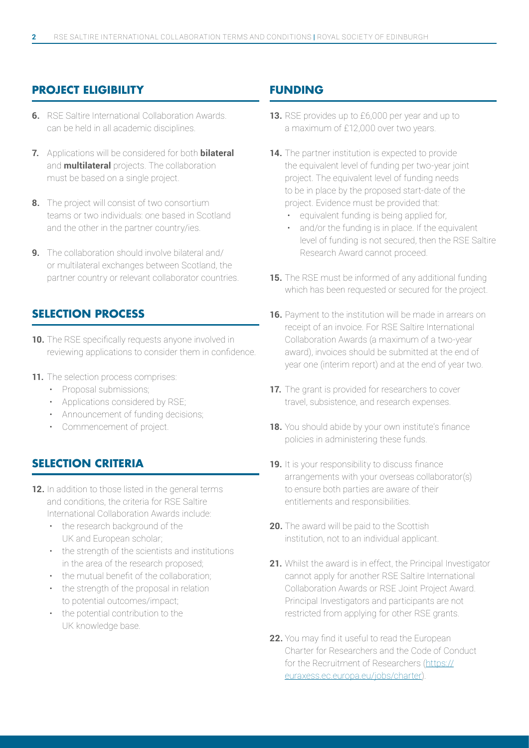#### **PROJECT ELIGIBILITY**

- **6.** RSE Saltire International Collaboration Awards. can be held in all academic disciplines.
- **7.** Applications will be considered for both **bilateral** and **multilateral** projects. The collaboration must be based on a single project.
- **8.** The project will consist of two consortium teams or two individuals: one based in Scotland and the other in the partner country/ies.
- **9.** The collaboration should involve bilateral and/ or multilateral exchanges between Scotland, the partner country or relevant collaborator countries.

#### **SELECTION PROCESS**

- **10.** The RSE specifically requests anyone involved in reviewing applications to consider them in confidence.
- **11.** The selection process comprises:
	- Proposal submissions;
	- Applications considered by RSE;
	- Announcement of funding decisions;
	- Commencement of project.

#### **SELECTION CRITERIA**

- **12.** In addition to those listed in the general terms and conditions, the criteria for RSE Saltire International Collaboration Awards include:
	- the research background of the UK and European scholar;
	- the strength of the scientists and institutions in the area of the research proposed;
	- the mutual benefit of the collaboration;
	- the strength of the proposal in relation to potential outcomes/impact;
	- the potential contribution to the UK knowledge base.

#### **FUNDING**

- **13.** RSE provides up to £6,000 per year and up to a maximum of £12,000 over two years.
- **14.** The partner institution is expected to provide the equivalent level of funding per two-year joint project. The equivalent level of funding needs to be in place by the proposed start-date of the project. Evidence must be provided that:
	- equivalent funding is being applied for,
	- and/or the funding is in place. If the equivalent level of funding is not secured, then the RSE Saltire Research Award cannot proceed.
- **15.** The RSE must be informed of any additional funding which has been requested or secured for the project.
- **16.** Payment to the institution will be made in arrears on receipt of an invoice. For RSE Saltire International Collaboration Awards (a maximum of a two-year award), invoices should be submitted at the end of year one (interim report) and at the end of year two.
- **17.** The grant is provided for researchers to cover travel, subsistence, and research expenses.
- 18. You should abide by your own institute's finance policies in administering these funds.
- **19.** It is your responsibility to discuss finance arrangements with your overseas collaborator(s) to ensure both parties are aware of their entitlements and responsibilities.
- **20.** The award will be paid to the Scottish institution, not to an individual applicant.
- **21.** Whilst the award is in effect, the Principal Investigator cannot apply for another RSE Saltire International Collaboration Awards or RSE Joint Project Award. Principal Investigators and participants are not restricted from applying for other RSE grants.
- **22.** You may find it useful to read the European Charter for Researchers and the Code of Conduct for the Recruitment of Researchers [\(https://](https://euraxess.ec.europa.eu/jobs/charter) [euraxess.ec.europa.eu/jobs/charter\)](https://euraxess.ec.europa.eu/jobs/charter).